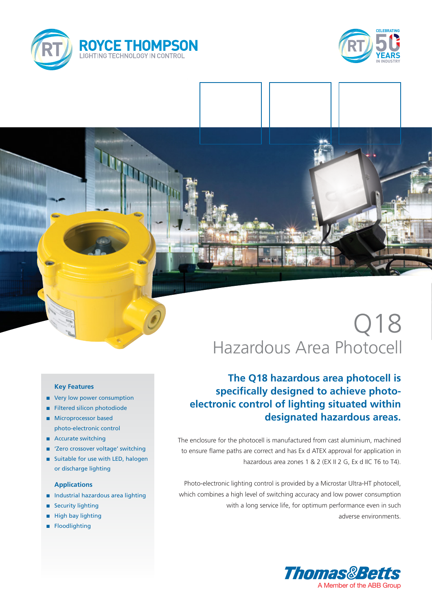



# Q18 Hazardous Area Photocell

## **The Q18 hazardous area photocell is specifically designed to achieve photoelectronic control of lighting situated within designated hazardous areas.**

The enclosure for the photocell is manufactured from cast aluminium, machined to ensure flame paths are correct and has Ex d ATEX approval for application in hazardous area zones 1 & 2 (EX II 2 G, Ex d IIC T6 to T4).

Photo-electronic lighting control is provided by a Microstar Ultra-HT photocell, which combines a high level of switching accuracy and low power consumption with a long service life, for optimum performance even in such adverse environments.



### **Key Features**

- very low power consumption
- **n** Filtered silicon photodiode
- **n** Microprocessor based photo-electronic control
- Accurate switching
- 'Zero crossover voltage' switching
- Suitable for use with LED, halogen or discharge lighting

### **Applications**

- n Industrial hazardous area lighting
- **n** Security lighting
- High bay lighting
- **n** Floodlighting